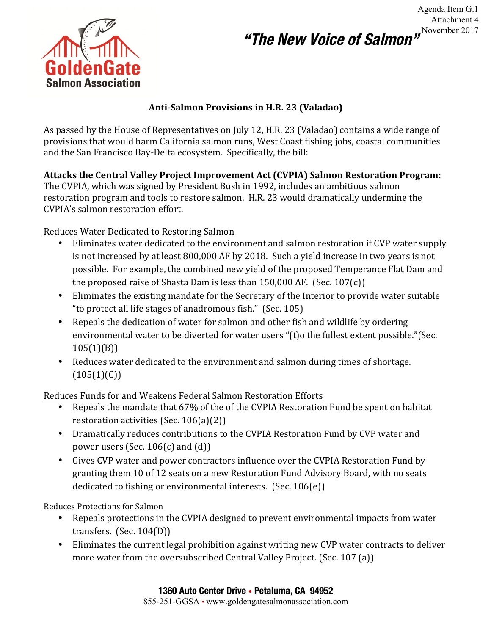# **"The New Voice of Salmon"**



### Anti-Salmon Provisions in H.R. 23 (Valadao)

As passed by the House of Representatives on July 12, H.R. 23 (Valadao) contains a wide range of provisions that would harm California salmon runs, West Coast fishing jobs, coastal communities and the San Francisco Bay-Delta ecosystem. Specifically, the bill:

# **Attacks the Central Valley Project Improvement Act (CVPIA) Salmon Restoration Program:**

The CVPIA, which was signed by President Bush in 1992, includes an ambitious salmon restoration program and tools to restore salmon. H.R. 23 would dramatically undermine the CVPIA's salmon restoration effort.

Reduces Water Dedicated to Restoring Salmon

- Eliminates water dedicated to the environment and salmon restoration if CVP water supply is not increased by at least 800,000 AF by 2018. Such a yield increase in two years is not possible. For example, the combined new yield of the proposed Temperance Flat Dam and the proposed raise of Shasta Dam is less than  $150,000$  AF. (Sec.  $107(c)$ )
- Eliminates the existing mandate for the Secretary of the Interior to provide water suitable " to protect all life stages of anadromous fish." (Sec.  $105$ )
- Repeals the dedication of water for salmon and other fish and wildlife by ordering environmental water to be diverted for water users "(t)o the fullest extent possible."(Sec. 105(1)(B))
- Reduces water dedicated to the environment and salmon during times of shortage.  $(105(1)(C))$

Reduces Funds for and Weakens Federal Salmon Restoration Efforts

- Repeals the mandate that 67% of the of the CVPIA Restoration Fund be spent on habitat restoration activities  $(Sec. 106(a)(2))$
- Dramatically reduces contributions to the CVPIA Restoration Fund by CVP water and power users (Sec.  $106(c)$  and  $(d)$ )
- Gives CVP water and power contractors influence over the CVPIA Restoration Fund by granting them 10 of 12 seats on a new Restoration Fund Advisory Board, with no seats dedicated to fishing or environmental interests.  $(Sec. 106(e))$

Reduces Protections for Salmon

- Repeals protections in the CVPIA designed to prevent environmental impacts from water transfers.  $(Sec. 104(D))$
- Eliminates the current legal prohibition against writing new CVP water contracts to deliver more water from the oversubscribed Central Valley Project. (Sec. 107 (a))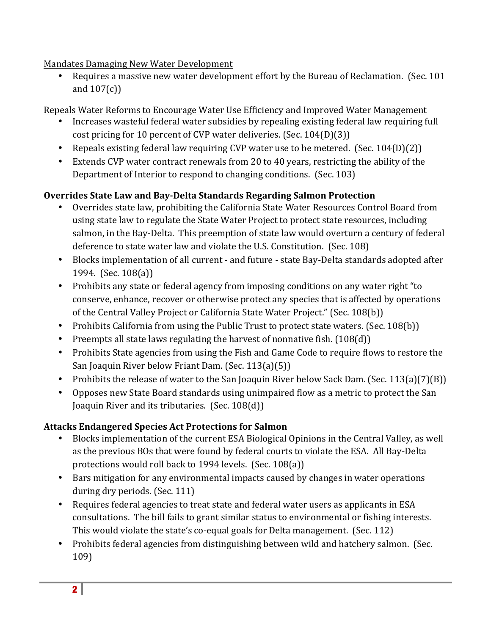# Mandates Damaging New Water Development

Requires a massive new water development effort by the Bureau of Reclamation. (Sec. 101 and  $107(c)$ 

Repeals Water Reforms to Encourage Water Use Efficiency and Improved Water Management

- Increases wasteful federal water subsidies by repealing existing federal law requiring full cost pricing for 10 percent of CVP water deliveries. (Sec.  $104(D)(3)$ )
- Repeals existing federal law requiring CVP water use to be metered. (Sec.  $104(D)(2)$ )
- Extends CVP water contract renewals from 20 to 40 years, restricting the ability of the Department of Interior to respond to changing conditions. (Sec. 103)

# **Overrides State Law and Bay-Delta Standards Regarding Salmon Protection**

- Overrides state law, prohibiting the California State Water Resources Control Board from using state law to regulate the State Water Project to protect state resources, including salmon, in the Bay-Delta. This preemption of state law would overturn a century of federal deference to state water law and violate the U.S. Constitution. (Sec. 108)
- Blocks implementation of all current and future state Bay-Delta standards adopted after 1994. (Sec.  $108(a)$ )
- Prohibits any state or federal agency from imposing conditions on any water right "to conserve, enhance, recover or otherwise protect any species that is affected by operations of the Central Valley Project or California State Water Project." (Sec. 108(b))
- Prohibits California from using the Public Trust to protect state waters. (Sec. 108(b))
- Preempts all state laws regulating the harvest of nonnative fish.  $(108(d))$
- Prohibits State agencies from using the Fish and Game Code to require flows to restore the San Joaquin River below Friant Dam. (Sec. 113(a)(5))
- Prohibits the release of water to the San Joaquin River below Sack Dam. (Sec. 113(a)(7)(B))
- Opposes new State Board standards using unimpaired flow as a metric to protect the San Joaquin River and its tributaries.  $(Sec. 108(d))$

# **Attacks Endangered Species Act Protections for Salmon**

- Blocks implementation of the current ESA Biological Opinions in the Central Valley, as well as the previous BOs that were found by federal courts to violate the ESA. All Bay-Delta protections would roll back to 1994 levels. (Sec.  $108(a)$ )
- Bars mitigation for any environmental impacts caused by changes in water operations during dry periods. (Sec. 111)
- Requires federal agencies to treat state and federal water users as applicants in ESA consultations. The bill fails to grant similar status to environmental or fishing interests. This would violate the state's co-equal goals for Delta management. (Sec. 112)
- Prohibits federal agencies from distinguishing between wild and hatchery salmon. (Sec. 109)